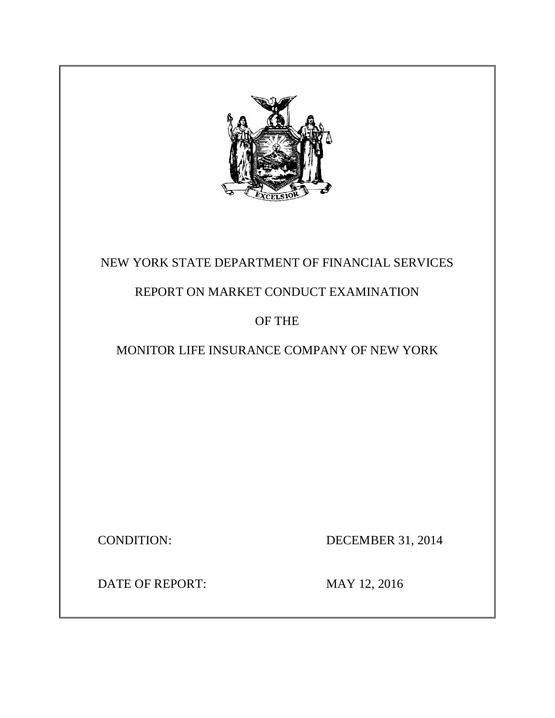

# NEW YORK STATE DEPARTMENT OF FINANCIAL SERVICES

# REPORT ON MARKET CONDUCT EXAMINATION

# OF THE

# MONITOR LIFE INSURANCE COMPANY OF NEW YORK

**CONDITION:** 

DECEMBER 31, 2014

DATE OF REPORT: MAY 12, 2016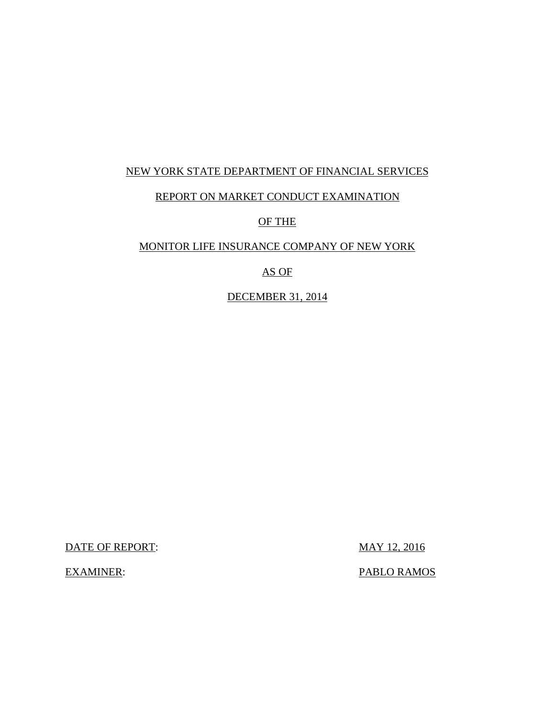# NEW YORK STATE DEPARTMENT OF FINANCIAL SERVICES

# REPORT ON MARKET CONDUCT EXAMINATION

# OF THE

### MONITOR LIFE INSURANCE COMPANY OF NEW YORK

# AS OF

### DECEMBER 31, 2014

DATE OF REPORT: MAY 12, 2016

PABLO RAMOS

**EXAMINER:**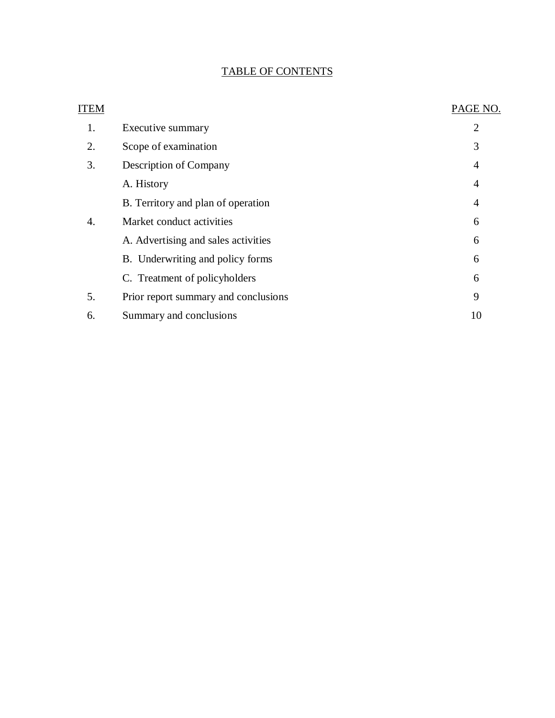### TABLE OF CONTENTS

| ITEM |                                      | PAGE NO.       |
|------|--------------------------------------|----------------|
| 1.   | Executive summary                    | $\overline{2}$ |
| 2.   | Scope of examination                 | 3              |
| 3.   | Description of Company               | 4              |
|      | A. History                           | 4              |
|      | B. Territory and plan of operation   | $\overline{4}$ |
| 4.   | Market conduct activities            | 6              |
|      | A. Advertising and sales activities  | 6              |
|      | B. Underwriting and policy forms     | 6              |
|      | C. Treatment of policyholders        | 6              |
| 5.   | Prior report summary and conclusions | 9              |
| 6.   | Summary and conclusions              | 10             |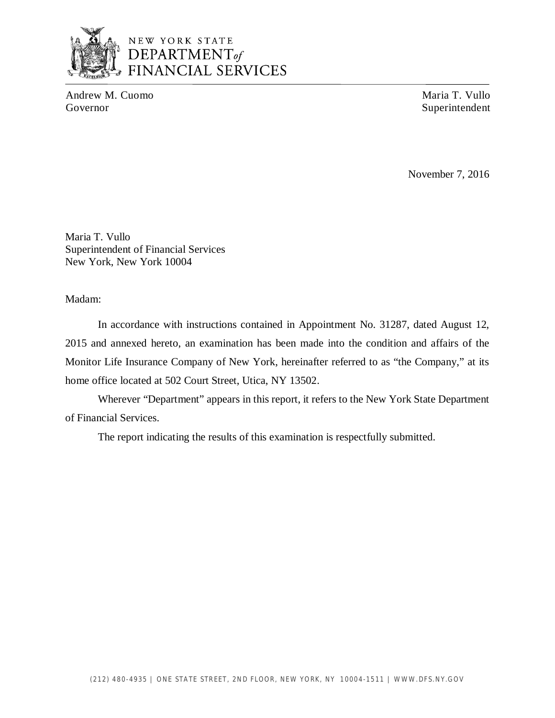

# NEW YORK STATE DEPARTMENT<sub>of</sub> **FINANCIAL SERVICES**

Andrew M. Cuomo Maria T. Vullo Governor Superintendent Superintendent Superintendent Superintendent Superintendent Superintendent

November 7, 2016

 Maria T. Vullo Superintendent of Financial Services New York, New York 10004

Madam:

 2015 and annexed hereto, an examination has been made into the condition and affairs of the Monitor Life Insurance Company of New York, hereinafter referred to as "the Company," at its home office located at 502 Court Street, Utica, NY 13502. In accordance with instructions contained in Appointment No. 31287, dated August 12,

 Wherever "Department" appears in this report, it refers to the New York State Department of Financial Services.

The report indicating the results of this examination is respectfully submitted.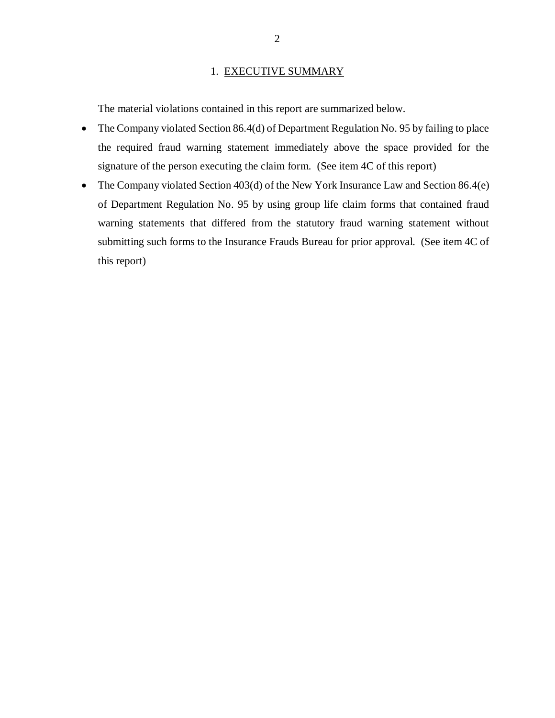#### 1. EXECUTIVE SUMMARY

<span id="page-4-0"></span>The material violations contained in this report are summarized below.

- The Company violated Section 86.4(d) of Department Regulation No. 95 by failing to place the required fraud warning statement immediately above the space provided for the signature of the person executing the claim form. (See item 4C of this report)
- The Company violated Section 403(d) of the New York Insurance Law and Section 86.4(e) of Department Regulation No. 95 by using group life claim forms that contained fraud warning statements that differed from the statutory fraud warning statement without submitting such forms to the Insurance Frauds Bureau for prior approval. (See item 4C of this report)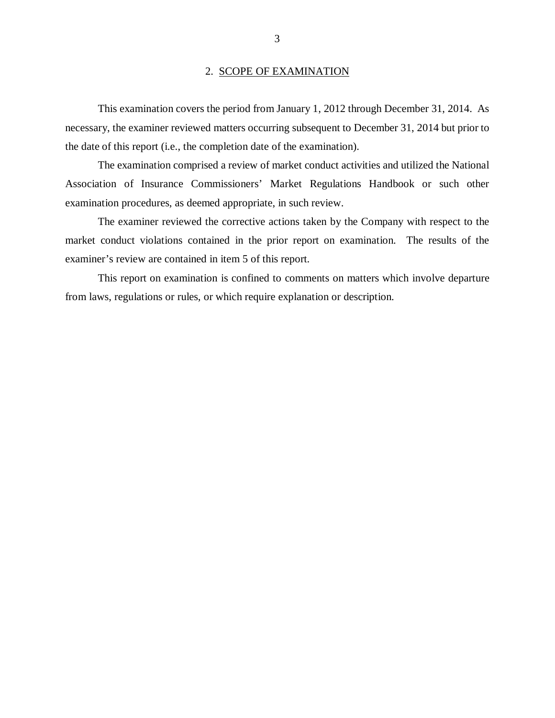#### 2. SCOPE OF EXAMINATION

<span id="page-5-0"></span> necessary, the examiner reviewed matters occurring subsequent to December 31, 2014 but prior to the date of this report (i.e., the completion date of the examination). This examination covers the period from January 1, 2012 through December 31, 2014. As

 Association of Insurance Commissioners' Market Regulations Handbook or such other examination procedures, as deemed appropriate, in such review. The examination comprised a review of market conduct activities and utilized the National

 market conduct violations contained in the prior report on examination. The results of the examiner's review are contained in item 5 of this report. The examiner reviewed the corrective actions taken by the Company with respect to the

 from laws, regulations or rules, or which require explanation or description. This report on examination is confined to comments on matters which involve departure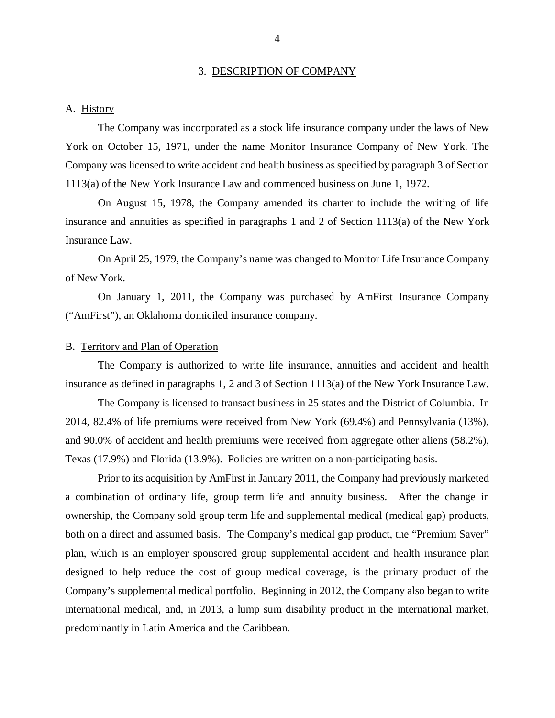#### 3. DESCRIPTION OF COMPANY

#### <span id="page-6-0"></span>A. History

 The Company was incorporated as a stock life insurance company under the laws of New York on October 15, 1971, under the name Monitor Insurance Company of New York. The Company was licensed to write accident and health business as specified by paragraph 3 of Section 1113(a) of the New York Insurance Law and commenced business on June 1, 1972.

 On August 15, 1978, the Company amended its charter to include the writing of life insurance and annuities as specified in paragraphs 1 and 2 of Section 1113(a) of the New York Insurance Law.

 On April 25, 1979, the Company's name was changed to Monitor Life Insurance Company of New York.

 On January 1, 2011, the Company was purchased by AmFirst Insurance Company ("AmFirst"), an Oklahoma domiciled insurance company.

#### B. Territory and Plan of Operation

 The Company is authorized to write life insurance, annuities and accident and health insurance as defined in paragraphs 1, 2 and 3 of Section 1113(a) of the New York Insurance Law.

 2014, 82.4% of life premiums were received from New York (69.4%) and Pennsylvania (13%), and 90.0% of accident and health premiums were received from aggregate other aliens (58.2%), Texas (17.9%) and Florida (13.9%). Policies are written on a non-participating basis. The Company is licensed to transact business in 25 states and the District of Columbia. In

 Prior to its acquisition by AmFirst in January 2011, the Company had previously marketed a combination of ordinary life, group term life and annuity business. After the change in ownership, the Company sold group term life and supplemental medical (medical gap) products, both on a direct and assumed basis. The Company's medical gap product, the "Premium Saver" plan, which is an employer sponsored group supplemental accident and health insurance plan designed to help reduce the cost of group medical coverage, is the primary product of the Company's supplemental medical portfolio. Beginning in 2012, the Company also began to write international medical, and, in 2013, a lump sum disability product in the international market, predominantly in Latin America and the Caribbean.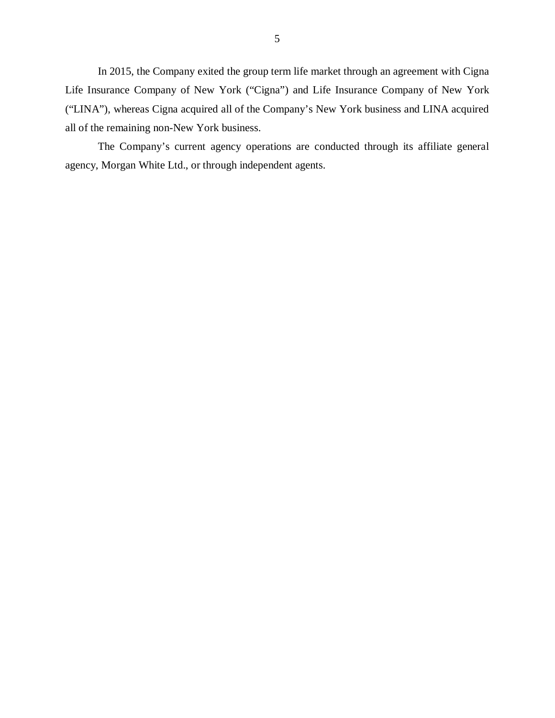In 2015, the Company exited the group term life market through an agreement with Cigna Life Insurance Company of New York ("Cigna") and Life Insurance Company of New York ("LINA"), whereas Cigna acquired all of the Company's New York business and LINA acquired all of the remaining non-New York business.

 The Company's current agency operations are conducted through its affiliate general agency, Morgan White Ltd., or through independent agents.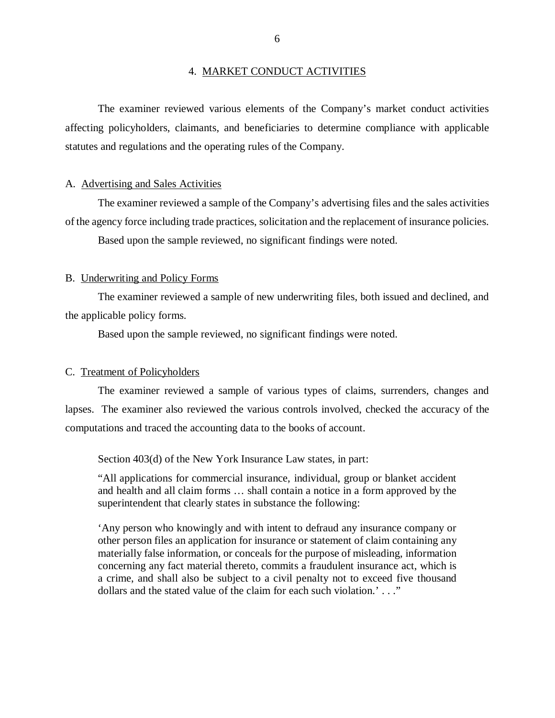#### 4. MARKET CONDUCT ACTIVITIES

<span id="page-8-0"></span> affecting policyholders, claimants, and beneficiaries to determine compliance with applicable statutes and regulations and the operating rules of the Company. The examiner reviewed various elements of the Company's market conduct activities

#### A. Advertising and Sales Activities

 of the agency force including trade practices, solicitation and the replacement of insurance policies. Based upon the sample reviewed, no significant findings were noted. The examiner reviewed a sample of the Company's advertising files and the sales activities

#### B. Underwriting and Policy Forms

 the applicable policy forms. The examiner reviewed a sample of new underwriting files, both issued and declined, and

Based upon the sample reviewed, no significant findings were noted.

#### C. Treatment of Policyholders

 lapses. The examiner also reviewed the various controls involved, checked the accuracy of the computations and traced the accounting data to the books of account. The examiner reviewed a sample of various types of claims, surrenders, changes and

Section 403(d) of the New York Insurance Law states, in part:

 "All applications for commercial insurance, individual, group or blanket accident and health and all claim forms … shall contain a notice in a form approved by the superintendent that clearly states in substance the following:

 'Any person who knowingly and with intent to defraud any insurance company or other person files an application for insurance or statement of claim containing any materially false information, or conceals for the purpose of misleading, information concerning any fact material thereto, commits a fraudulent insurance act, which is a crime, and shall also be subject to a civil penalty not to exceed five thousand dollars and the stated value of the claim for each such violation.' . . ."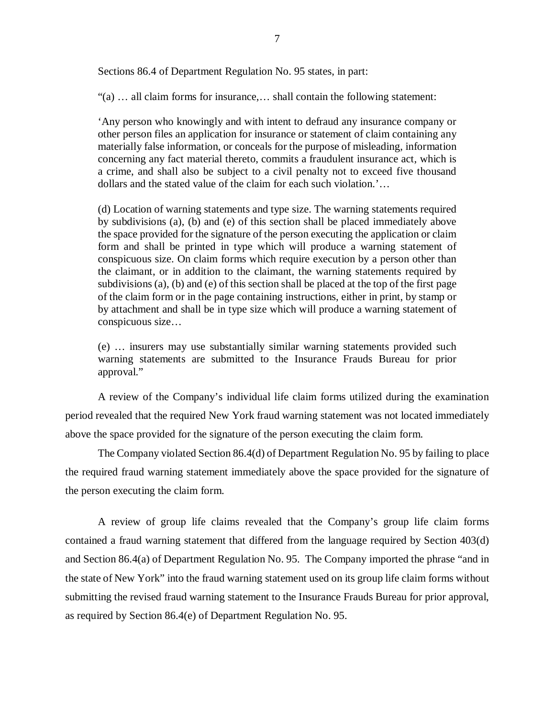Sections 86.4 of Department Regulation No. 95 states, in part:

"(a) … all claim forms for insurance,… shall contain the following statement:

 'Any person who knowingly and with intent to defraud any insurance company or other person files an application for insurance or statement of claim containing any materially false information, or conceals for the purpose of misleading, information concerning any fact material thereto, commits a fraudulent insurance act, which is a crime, and shall also be subject to a civil penalty not to exceed five thousand dollars and the stated value of the claim for each such violation.'…

 (d) Location of warning statements and type size. The warning statements required by subdivisions (a), (b) and (e) of this section shall be placed immediately above the space provided for the signature of the person executing the application or claim form and shall be printed in type which will produce a warning statement of conspicuous size. On claim forms which require execution by a person other than the claimant, or in addition to the claimant, the warning statements required by subdivisions (a), (b) and (e) of this section shall be placed at the top of the first page of the claim form or in the page containing instructions, either in print, by stamp or by attachment and shall be in type size which will produce a warning statement of conspicuous size…

 (e) … insurers may use substantially similar warning statements provided such warning statements are submitted to the Insurance Frauds Bureau for prior approval."

 A review of the Company's individual life claim forms utilized during the examination period revealed that the required New York fraud warning statement was not located immediately above the space provided for the signature of the person executing the claim form.

 The Company violated Section 86.4(d) of Department Regulation No. 95 by failing to place the required fraud warning statement immediately above the space provided for the signature of the person executing the claim form.

 A review of group life claims revealed that the Company's group life claim forms contained a fraud warning statement that differed from the language required by Section 403(d) and Section 86.4(a) of Department Regulation No. 95. The Company imported the phrase "and in the state of New York" into the fraud warning statement used on its group life claim forms without submitting the revised fraud warning statement to the Insurance Frauds Bureau for prior approval, as required by Section 86.4(e) of Department Regulation No. 95.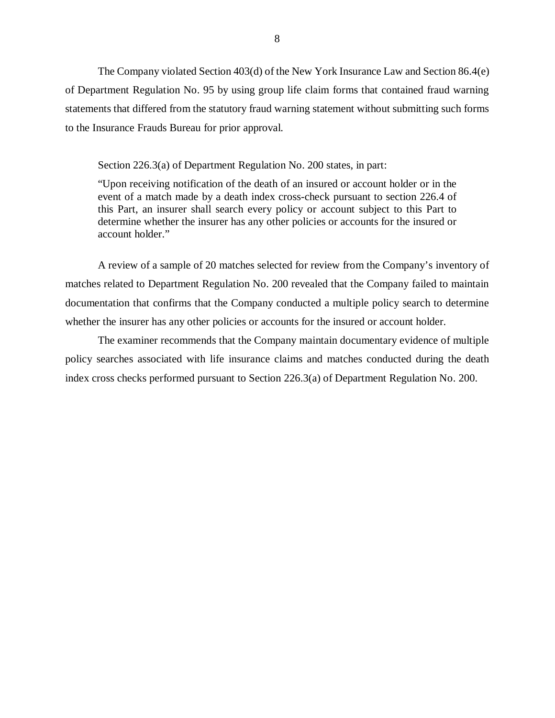The Company violated Section 403(d) of the New York Insurance Law and Section 86.4(e) of Department Regulation No. 95 by using group life claim forms that contained fraud warning statements that differed from the statutory fraud warning statement without submitting such forms to the Insurance Frauds Bureau for prior approval.

Section 226.3(a) of Department Regulation No. 200 states, in part:

 "Upon receiving notification of the death of an insured or account holder or in the event of a match made by a death index cross-check pursuant to section 226.4 of this Part, an insurer shall search every policy or account subject to this Part to determine whether the insurer has any other policies or accounts for the insured or account holder."

 matches related to Department Regulation No. 200 revealed that the Company failed to maintain documentation that confirms that the Company conducted a multiple policy search to determine whether the insurer has any other policies or accounts for the insured or account holder. A review of a sample of 20 matches selected for review from the Company's inventory of

 The examiner recommends that the Company maintain documentary evidence of multiple policy searches associated with life insurance claims and matches conducted during the death index cross checks performed pursuant to Section 226.3(a) of Department Regulation No. 200.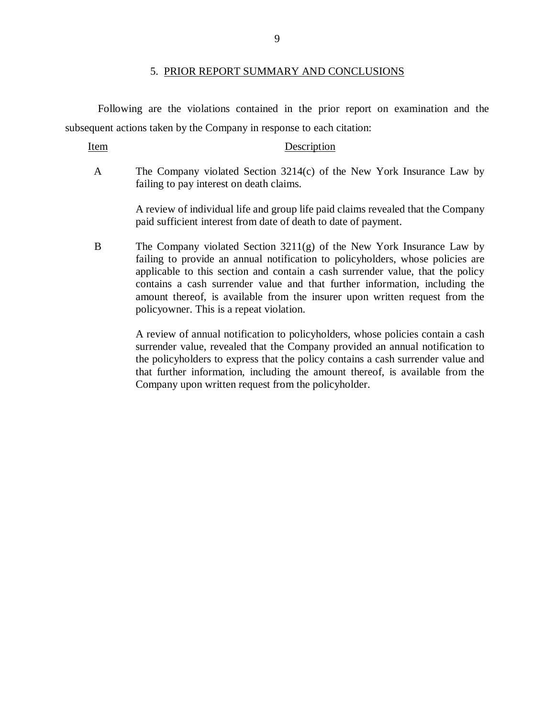#### 5. PRIOR REPORT SUMMARY AND CONCLUSIONS

 Following are the violations contained in the prior report on examination and the subsequent actions taken by the Company in response to each citation:

Item Description

 $\mathbf{A}$  failing to pay interest on death claims. The Company violated Section  $3214(c)$  of the New York Insurance Law by

> A review of individual life and group life paid claims revealed that the Company paid sufficient interest from date of death to date of payment.

 $\overline{B}$  failing to provide an annual notification to policyholders, whose policies are applicable to this section and contain a cash surrender value, that the policy contains a cash surrender value and that further information, including the amount thereof, is available from the insurer upon written request from the policyowner. This is a repeat violation. The Company violated Section  $3211(g)$  of the New York Insurance Law by

> surrender value, revealed that the Company provided an annual notification to the policyholders to express that the policy contains a cash surrender value and that further information, including the amount thereof, is available from the Company upon written request from the policyholder. A review of annual notification to policyholders, whose policies contain a cash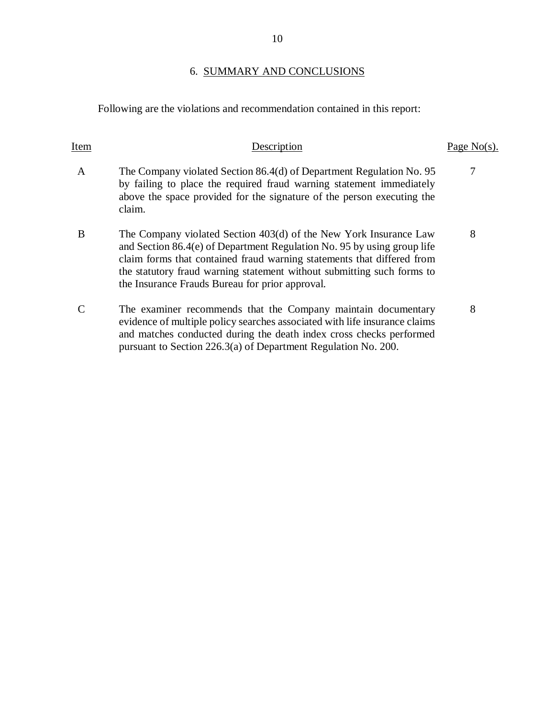### 6. SUMMARY AND CONCLUSIONS

Following are the violations and recommendation contained in this report:

| Item         |                                                                                                                                                                                                                                                                                                                                                     | Page No(s). |
|--------------|-----------------------------------------------------------------------------------------------------------------------------------------------------------------------------------------------------------------------------------------------------------------------------------------------------------------------------------------------------|-------------|
| $\mathsf{A}$ | The Company violated Section 86.4(d) of Department Regulation No. 95<br>by failing to place the required fraud warning statement immediately<br>above the space provided for the signature of the person executing the<br>claim.                                                                                                                    | 7           |
| B            | The Company violated Section 403(d) of the New York Insurance Law<br>and Section 86.4(e) of Department Regulation No. 95 by using group life<br>claim forms that contained fraud warning statements that differed from<br>the statutory fraud warning statement without submitting such forms to<br>the Insurance Frauds Bureau for prior approval. | 8           |
|              | The examiner recommends that the Company maintain documentary<br>evidence of multiple policy searches associated with life insurance claims<br>and matches conducted during the death index cross checks performed<br>pursuant to Section 226.3(a) of Department Regulation No. 200.                                                                | 8           |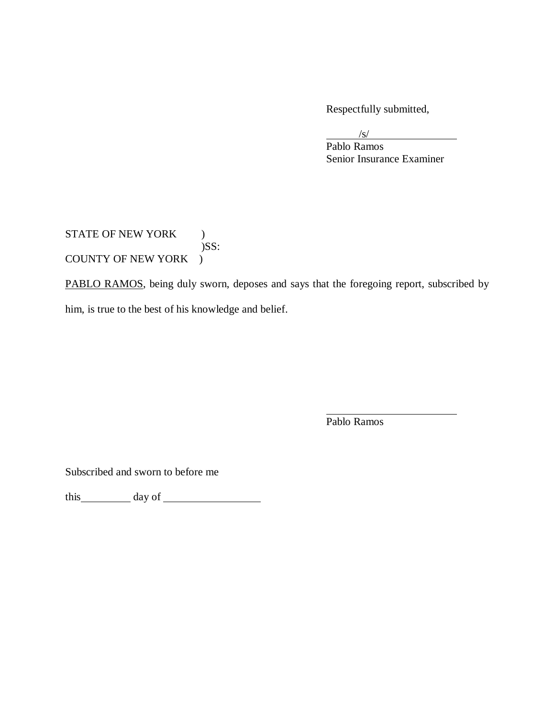Respectfully submitted,

 $\sqrt{s}$ /

 Senior Insurance Examiner Pablo Ramos

STATE OF NEW YORK ) COUNTY OF NEW YORK )  $)$ SS:

PABLO RAMOS, being duly sworn, deposes and says that the foregoing report, subscribed by him, is true to the best of his knowledge and belief.

Pablo Ramos

Subscribed and sworn to before me

this day of